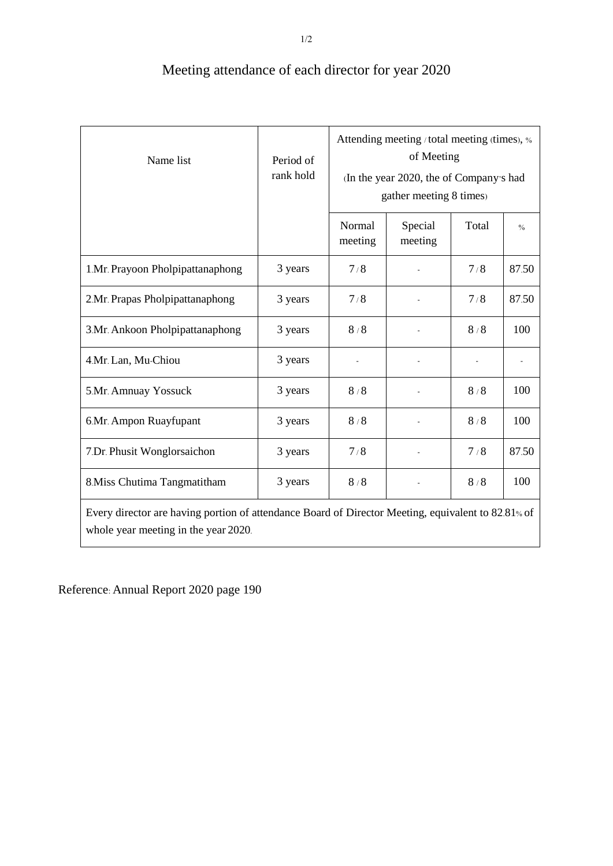| Name list                                                                                                                                  | Period of<br>rank hold | Attending meeting / total meeting (times), %<br>of Meeting<br>(In the year 2020, the of Company's had<br>gather meeting 8 times) |                    |       |               |  |  |  |  |
|--------------------------------------------------------------------------------------------------------------------------------------------|------------------------|----------------------------------------------------------------------------------------------------------------------------------|--------------------|-------|---------------|--|--|--|--|
|                                                                                                                                            |                        | Normal<br>meeting                                                                                                                | Special<br>meeting | Total | $\frac{0}{0}$ |  |  |  |  |
| 1.Mr. Prayoon Pholpipattanaphong                                                                                                           | 3 years                | 7/8                                                                                                                              |                    | 7/8   | 87.50         |  |  |  |  |
| 2.Mr. Prapas Pholpipattanaphong                                                                                                            | 3 years                | 7/8                                                                                                                              |                    | 7/8   | 87.50         |  |  |  |  |
| 3.Mr. Ankoon Pholpipattanaphong                                                                                                            | 3 years                | 8/8                                                                                                                              |                    | 8/8   | 100           |  |  |  |  |
| 4.Mr. Lan, Mu-Chiou                                                                                                                        | 3 years                |                                                                                                                                  |                    |       |               |  |  |  |  |
| 5.Mr. Amnuay Yossuck                                                                                                                       | 3 years                | 8/8                                                                                                                              |                    | 8/8   | 100           |  |  |  |  |
| 6.Mr. Ampon Ruayfupant                                                                                                                     | 3 years                | 8/8                                                                                                                              |                    | 8/8   | 100           |  |  |  |  |
| 7.Dr. Phusit Wonglorsaichon                                                                                                                | 3 years                | 7/8                                                                                                                              |                    | 7/8   | 87.50         |  |  |  |  |
| 8. Miss Chutima Tangmatitham                                                                                                               | 3 years                | 8/8                                                                                                                              |                    | 8/8   | 100           |  |  |  |  |
| Every director are having portion of attendance Board of Director Meeting, equivalent to 82.81% of<br>whole year meeting in the year 2020. |                        |                                                                                                                                  |                    |       |               |  |  |  |  |

## Meeting attendance of each director for year 2020

Reference: Annual Report 2020 page 190